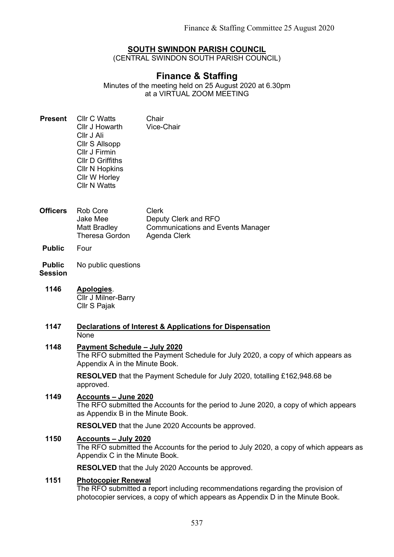# SOUTH SWINDON PARISH COUNCIL

(CENTRAL SWINDON SOUTH PARISH COUNCIL)

# Finance & Staffing

Minutes of the meeting held on 25 August 2020 at 6.30pm at a VIRTUAL ZOOM MEETING

- Present Cllr C Watts Cllr J Howarth Cllr J Ali Cllr S Allsopp Cllr J Firmin Cllr D Griffiths Cllr N Hopkins Cllr W Horley Cllr N Watts Chair Vice-Chair
- Officers Rob Core Jake Mee Matt Bradley Theresa Gordon Clerk Deputy Clerk and RFO Communications and Events Manager Agenda Clerk
- Public Four
- Public No public questions

# Session

- 1146 Apologies. Cllr J Milner-Barry Cllr S Pajak
- 1147 Declarations of Interest & Applications for Dispensation None

#### 1148 Payment Schedule – July 2020

The RFO submitted the Payment Schedule for July 2020, a copy of which appears as Appendix A in the Minute Book.

RESOLVED that the Payment Schedule for July 2020, totalling £162,948.68 be approved.

# 1149 Accounts – June 2020

The RFO submitted the Accounts for the period to June 2020, a copy of which appears as Appendix B in the Minute Book.

RESOLVED that the June 2020 Accounts be approved.

## 1150 Accounts – July 2020

The RFO submitted the Accounts for the period to July 2020, a copy of which appears as Appendix C in the Minute Book.

RESOLVED that the July 2020 Accounts be approved.

#### 1151 Photocopier Renewal

The RFO submitted a report including recommendations regarding the provision of photocopier services, a copy of which appears as Appendix D in the Minute Book.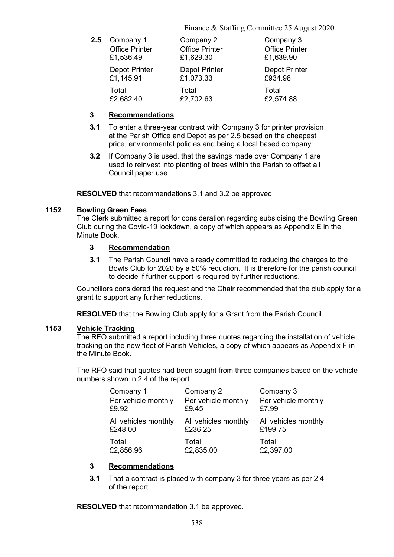Finance & Staffing Committee 25 August 2020

| 2.5 | Company 1             | Company 2             | Company 3             |
|-----|-----------------------|-----------------------|-----------------------|
|     | <b>Office Printer</b> | <b>Office Printer</b> | <b>Office Printer</b> |
|     | £1,536.49             | £1,629.30             | £1,639.90             |
|     | <b>Depot Printer</b>  | <b>Depot Printer</b>  | <b>Depot Printer</b>  |
|     | £1,145.91             | £1,073.33             | £934.98               |
|     | Total                 | Total                 | Total                 |
|     | £2,682.40             | £2,702.63             | £2,574.88             |

## 3 Recommendations

- 3.1 To enter a three-year contract with Company 3 for printer provision at the Parish Office and Depot as per 2.5 based on the cheapest price, environmental policies and being a local based company.
- 3.2 If Company 3 is used, that the savings made over Company 1 are used to reinvest into planting of trees within the Parish to offset all Council paper use.

RESOLVED that recommendations 3.1 and 3.2 be approved.

#### 1152 Bowling Green Fees

The Clerk submitted a report for consideration regarding subsidising the Bowling Green Club during the Covid-19 lockdown, a copy of which appears as Appendix E in the Minute Book.

#### 3 Recommendation

3.1 The Parish Council have already committed to reducing the charges to the Bowls Club for 2020 by a 50% reduction. It is therefore for the parish council to decide if further support is required by further reductions.

Councillors considered the request and the Chair recommended that the club apply for a grant to support any further reductions.

RESOLVED that the Bowling Club apply for a Grant from the Parish Council.

## 1153 Vehicle Tracking

The RFO submitted a report including three quotes regarding the installation of vehicle tracking on the new fleet of Parish Vehicles, a copy of which appears as Appendix F in the Minute Book.

The RFO said that quotes had been sought from three companies based on the vehicle numbers shown in 2.4 of the report.

| Company 1            | Company 2            | Company 3            |
|----------------------|----------------------|----------------------|
| Per vehicle monthly  | Per vehicle monthly  | Per vehicle monthly  |
| £9.92                | £9.45                | £7.99                |
| All vehicles monthly | All vehicles monthly | All vehicles monthly |
| £248.00              | £236.25              | £199.75              |
| Total                | Total                | Total                |
| £2,856.96            | £2,835.00            | £2,397.00            |

## 3 Recommendations

3.1 That a contract is placed with company 3 for three years as per 2.4 of the report.

RESOLVED that recommendation 3.1 be approved.